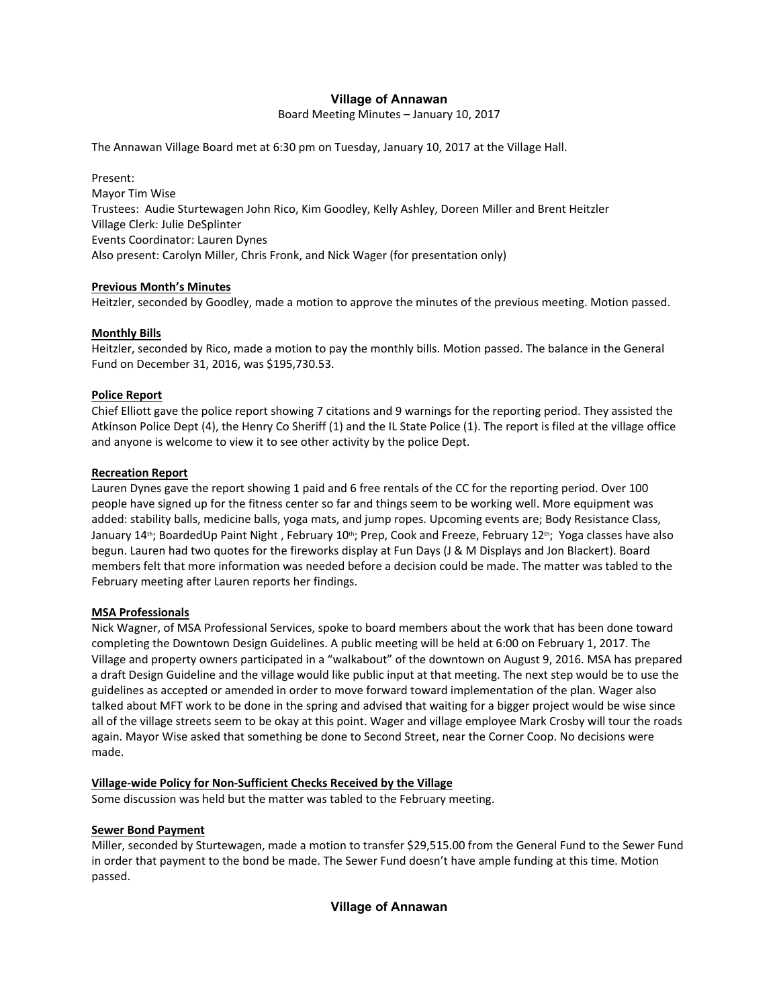# **Village of Annawan**

Board Meeting Minutes – January 10, 2017

The Annawan Village Board met at 6:30 pm on Tuesday, January 10, 2017 at the Village Hall.

Present: Mayor Tim Wise Trustees: Audie Sturtewagen John Rico, Kim Goodley, Kelly Ashley, Doreen Miller and Brent Heitzler Village Clerk: Julie DeSplinter Events Coordinator: Lauren Dynes Also present: Carolyn Miller, Chris Fronk, and Nick Wager (for presentation only)

### **Previous Month's Minutes**

Heitzler, seconded by Goodley, made a motion to approve the minutes of the previous meeting. Motion passed.

### **Monthly Bills**

Heitzler, seconded by Rico, made a motion to pay the monthly bills. Motion passed. The balance in the General Fund on December 31, 2016, was \$195,730.53.

## **Police Report**

Chief Elliott gave the police report showing 7 citations and 9 warnings for the reporting period. They assisted the Atkinson Police Dept (4), the Henry Co Sheriff (1) and the IL State Police (1). The report is filed at the village office and anyone is welcome to view it to see other activity by the police Dept.

## **Recreation Report**

Lauren Dynes gave the report showing 1 paid and 6 free rentals of the CC for the reporting period. Over 100 people have signed up for the fitness center so far and things seem to be working well. More equipment was added: stability balls, medicine balls, yoga mats, and jump ropes. Upcoming events are; Body Resistance Class, January 14<sup>th</sup>; BoardedUp Paint Night, February 10<sup>th</sup>; Prep, Cook and Freeze, February 12<sup>th</sup>; Yoga classes have also begun. Lauren had two quotes for the fireworks display at Fun Days (J & M Displays and Jon Blackert). Board members felt that more information was needed before a decision could be made. The matter was tabled to the February meeting after Lauren reports her findings.

### **MSA Professionals**

Nick Wagner, of MSA Professional Services, spoke to board members about the work that has been done toward completing the Downtown Design Guidelines. A public meeting will be held at 6:00 on February 1, 2017. The Village and property owners participated in a "walkabout" of the downtown on August 9, 2016. MSA has prepared a draft Design Guideline and the village would like public input at that meeting. The next step would be to use the guidelines as accepted or amended in order to move forward toward implementation of the plan. Wager also talked about MFT work to be done in the spring and advised that waiting for a bigger project would be wise since all of the village streets seem to be okay at this point. Wager and village employee Mark Crosby will tour the roads again. Mayor Wise asked that something be done to Second Street, near the Corner Coop. No decisions were made.

# **Village-wide Policy for Non-Sufficient Checks Received by the Village**

Some discussion was held but the matter was tabled to the February meeting.

### **Sewer Bond Payment**

Miller, seconded by Sturtewagen, made a motion to transfer \$29,515.00 from the General Fund to the Sewer Fund in order that payment to the bond be made. The Sewer Fund doesn't have ample funding at this time. Motion passed.